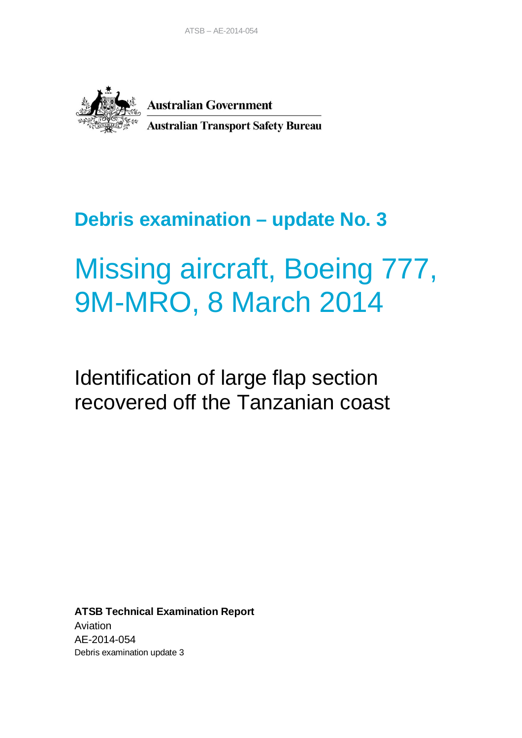

**Australian Government Australian Transport Safety Bureau** 

## **Debris examination – update No. 3**

# Missing aircraft, Boeing 777, 9M-MRO, 8 March 2014

## Identification of large flap section recovered off the Tanzanian coast

**ATSB Technical Examination Report** Aviation AE-2014-054 Debris examination update 3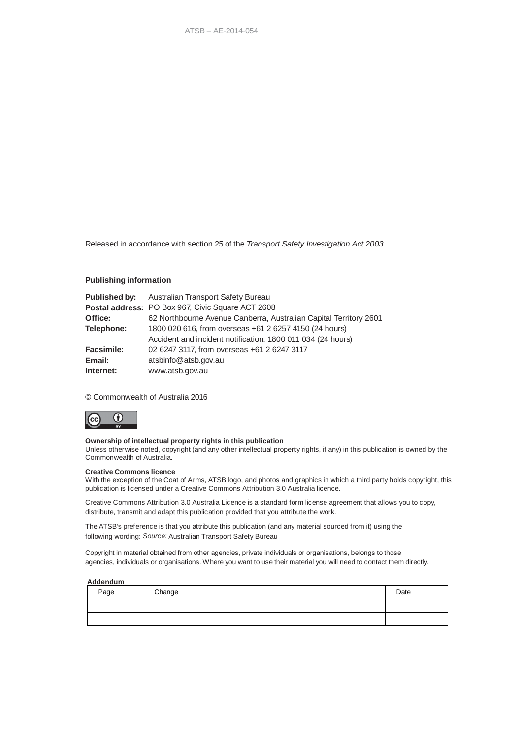Released in accordance with section 25 of the *Transport Safety Investigation Act 2003*

#### **Publishing information**

| Published by:     | Australian Transport Safety Bureau                                |
|-------------------|-------------------------------------------------------------------|
|                   | <b>Postal address: PO Box 967, Civic Square ACT 2608</b>          |
| Office:           | 62 Northbourne Avenue Canberra, Australian Capital Territory 2601 |
| Telephone:        | 1800 020 616, from overseas +61 2 6257 4150 (24 hours)            |
|                   | Accident and incident notification: 1800 011 034 (24 hours)       |
| <b>Facsimile:</b> | 02 6247 3117, from overseas +61 2 6247 3117                       |
| Email:            | atsbinfo@atsb.gov.au                                              |
| Internet:         | www.atsb.gov.au                                                   |

© Commonwealth of Australia 2016



#### **Ownership of intellectual property rights in this publication**

Unless otherwise noted, copyright (and any other intellectual property rights, if any) in this publication is owned by the Commonwealth of Australia.

#### **Creative Commons licence**

With the exception of the Coat of Arms, ATSB logo, and photos and graphics in which a third party holds copyright, this publication is licensed under a Creative Commons Attribution 3.0 Australia licence.

Creative Commons Attribution 3.0 Australia Licence is a standard form license agreement that allows you to copy, distribute, transmit and adapt this publication provided that you attribute the work.

The ATSB's preference is that you attribute this publication (and any material sourced from it) using the following wording: *Source:* Australian Transport Safety Bureau

Copyright in material obtained from other agencies, private individuals or organisations, belongs to those agencies, individuals or organisations. Where you want to use their material you will need to contact them directly.

#### **Addendum**

| Page | Change | Date |
|------|--------|------|
|      |        |      |
|      |        |      |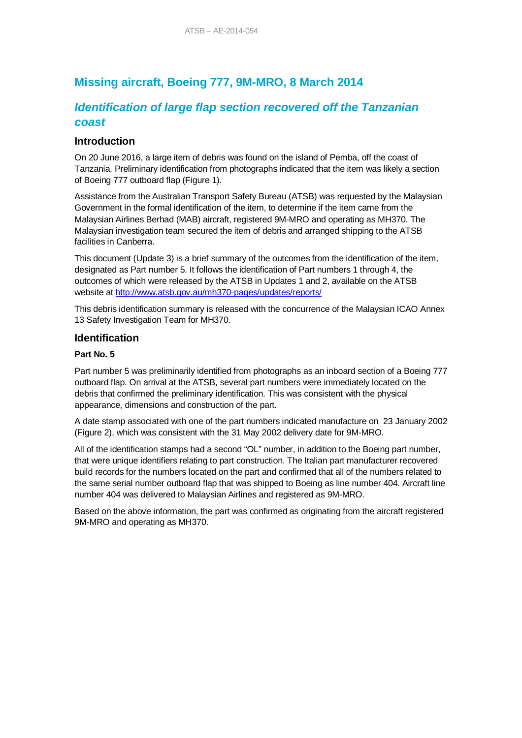## **Missing aircraft, Boeing 777, 9M-MRO, 8 March 2014**

## *Identification of large flap section recovered off the Tanzanian coast*

### **Introduction**

On 20 June 2016, a large item of debris was found on the island of Pemba, off the coast of Tanzania. Preliminary identification from photographs indicated that the item was likely a section of Boeing 777 outboard flap (Figure 1).

Assistance from the Australian Transport Safety Bureau (ATSB) was requested by the Malaysian Government in the formal identification of the item, to determine if the item came from the Malaysian Airlines Berhad (MAB) aircraft, registered 9M-MRO and operating as MH370. The Malaysian investigation team secured the item of debris and arranged shipping to the ATSB facilities in Canberra.

This document (Update 3) is a brief summary of the outcomes from the identification of the item, designated as Part number 5. It follows the identification of Part numbers 1 through 4, the outcomes of which were released by the ATSB in Updates 1 and 2, available on the ATSB website at http://www.atsb.gov.au/mh370-pages/updates/reports/

This debris identification summary is released with the concurrence of the Malaysian ICAO Annex 13 Safety Investigation Team for MH370.

#### **Identification**

#### **Part No. 5**

Part number 5 was preliminarily identified from photographs as an inboard section of a Boeing 777 outboard flap. On arrival at the ATSB, several part numbers were immediately located on the debris that confirmed the preliminary identification. This was consistent with the physical appearance, dimensions and construction of the part.

A date stamp associated with one of the part numbers indicated manufacture on 23 January 2002 (Figure 2), which was consistent with the 31 May 2002 delivery date for 9M-MRO.

All of the identification stamps had a second "OL" number, in addition to the Boeing part number, that were unique identifiers relating to part construction. The Italian part manufacturer recovered build records for the numbers located on the part and confirmed that all of the numbers related to the same serial number outboard flap that was shipped to Boeing as line number 404. Aircraft line number 404 was delivered to Malaysian Airlines and registered as 9M-MRO.

Based on the above information, the part was confirmed as originating from the aircraft registered 9M-MRO and operating as MH370.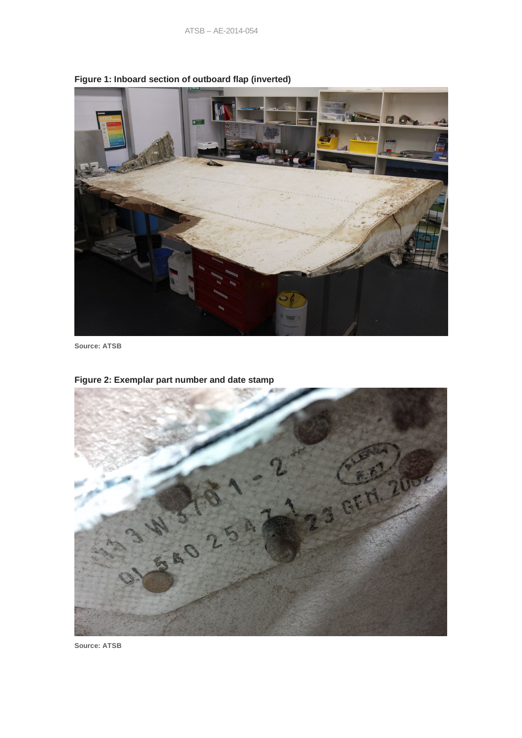

**Figure 1: Inboard section of outboard flap (inverted)**

**Source: ATSB**



**Figure 2: Exemplar part number and date stamp**

**Source: ATSB**